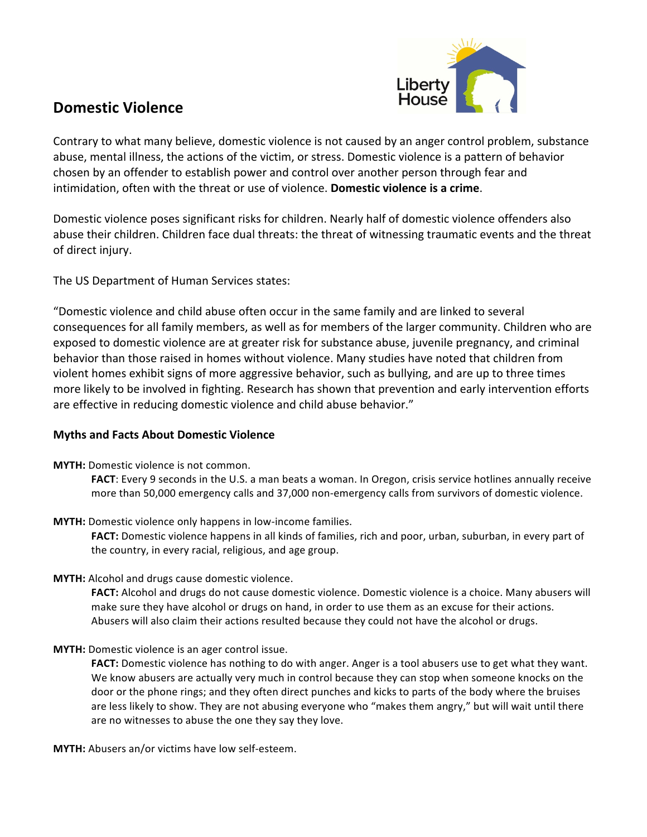

## **Domestic Violence**

Contrary to what many believe, domestic violence is not caused by an anger control problem, substance abuse, mental illness, the actions of the victim, or stress. Domestic violence is a pattern of behavior chosen by an offender to establish power and control over another person through fear and intimidation, often with the threat or use of violence. **Domestic violence is a crime**.

Domestic violence poses significant risks for children. Nearly half of domestic violence offenders also abuse their children. Children face dual threats: the threat of witnessing traumatic events and the threat of direct injury.

The US Department of Human Services states:

"Domestic violence and child abuse often occur in the same family and are linked to several consequences for all family members, as well as for members of the larger community. Children who are exposed to domestic violence are at greater risk for substance abuse, juvenile pregnancy, and criminal behavior than those raised in homes without violence. Many studies have noted that children from violent homes exhibit signs of more aggressive behavior, such as bullying, and are up to three times more likely to be involved in fighting. Research has shown that prevention and early intervention efforts are effective in reducing domestic violence and child abuse behavior."

## **Myths and Facts About Domestic Violence**

**MYTH:** Domestic violence is not common.

**FACT**: Every 9 seconds in the U.S. a man beats a woman. In Oregon, crisis service hotlines annually receive more than 50,000 emergency calls and 37,000 non-emergency calls from survivors of domestic violence.

**MYTH:** Domestic violence only happens in low-income families.

**FACT:** Domestic violence happens in all kinds of families, rich and poor, urban, suburban, in every part of the country, in every racial, religious, and age group.

**MYTH:** Alcohol and drugs cause domestic violence.

FACT: Alcohol and drugs do not cause domestic violence. Domestic violence is a choice. Many abusers will make sure they have alcohol or drugs on hand, in order to use them as an excuse for their actions. Abusers will also claim their actions resulted because they could not have the alcohol or drugs.

**MYTH:** Domestic violence is an ager control issue.

**FACT:** Domestic violence has nothing to do with anger. Anger is a tool abusers use to get what they want. We know abusers are actually very much in control because they can stop when someone knocks on the door or the phone rings; and they often direct punches and kicks to parts of the body where the bruises are less likely to show. They are not abusing everyone who "makes them angry," but will wait until there are no witnesses to abuse the one they say they love.

**MYTH:** Abusers an/or victims have low self-esteem.